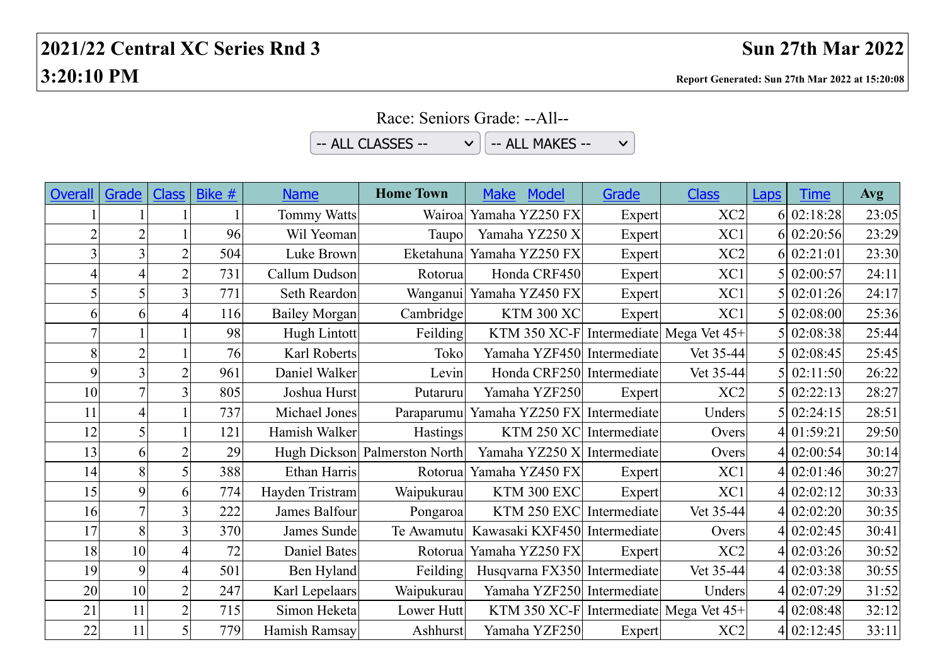| -- ALL CLASSES --<br>-- ALL MAKES --<br>$\checkmark$<br>$\checkmark$ |                |                |        |                      |                               |                                          |        |                 |      |             |       |
|----------------------------------------------------------------------|----------------|----------------|--------|----------------------|-------------------------------|------------------------------------------|--------|-----------------|------|-------------|-------|
|                                                                      |                |                |        |                      |                               |                                          |        |                 |      |             |       |
| <b>Overall</b>                                                       | Grade          | <b>Class</b>   | Bike # | <b>Name</b>          | <b>Home Town</b>              | <b>Make</b><br><b>Model</b>              | Grade  | <b>Class</b>    | Laps | <b>Time</b> | Avg   |
|                                                                      |                |                |        | Tommy Watts          | Wairoa                        | Yamaha YZ250 FX                          | Expert | XC <sub>2</sub> |      | 6 02:18:28  | 23:05 |
| $\overline{2}$                                                       | $\overline{2}$ |                | 96     | Wil Yeoman           | Taupo                         | Yamaha YZ250 X                           | Expert | XC1             |      | 6 02:20:56  | 23:29 |
| 3 <sup>1</sup>                                                       | 3              | $\overline{2}$ | 504    | Luke Brown           | Eketahuna                     | Yamaha YZ250 FX                          | Expert | XC <sub>2</sub> |      | 6 02:21:01  | 23:30 |
| $\overline{4}$                                                       | $\overline{4}$ | $\overline{2}$ | 731    | Callum Dudson        | Rotorua                       | Honda CRF450                             | Expert | XC1             |      | 5 02:00:57  | 24:11 |
| $\mathcal{S}$                                                        | 5              | 3              | 771    | Seth Reardon         |                               | Wanganui Yamaha YZ450 FX                 | Expert | XC1             |      | 5 02:01:26  | 24:17 |
| 6 <sup>1</sup>                                                       | 6 <sup>1</sup> |                | 116    | <b>Bailey Morgan</b> | Cambridge                     | <b>KTM 300 XC</b>                        | Expert | XC1             |      | 5 02:08:00  | 25:36 |
| $\overline{7}$                                                       |                |                | 98     | Hugh Lintott         | Feilding                      | KTM 350 XC-F Intermediate Mega Vet $45+$ |        |                 |      | 5 02:08:38  | 25:44 |
| 8                                                                    | $\overline{c}$ |                | 76     | Karl Roberts         | Toko                          | Yamaha YZF450 Intermediate               |        | Vet 35-44       |      | 02:08:45    | 25:45 |
| $\overline{9}$                                                       | $\overline{3}$ | $\overline{2}$ | 961    | Daniel Walker        | Levin                         | Honda CRF250 Intermediate                |        | Vet 35-44       |      | 02:11:50    | 26:22 |
| 10                                                                   | $\overline{7}$ | $\overline{3}$ | 805    | Joshua Hurst         | Putaruru                      | Yamaha YZF250                            | Expert | XC <sub>2</sub> |      | 02:22:13    | 28:27 |
| 11                                                                   | $\overline{4}$ |                | 737    | Michael Jones        | Paraparumu                    | Yamaha YZ250 FX Intermediate             |        | Unders          |      | 02:24:15    | 28:51 |
| 12                                                                   | 5              |                | 121    | Hamish Walker        | <b>Hastings</b>               | KTM 250 XC Intermediate                  |        | Overs           |      | 4 01:59:21  | 29:50 |
| 13                                                                   | 6              | $\overline{2}$ | 29     |                      | Hugh Dickson Palmerston North | Yamaha YZ250 X Intermediate              |        | Overs           |      | 4 02:00:54  | 30:14 |
| 14                                                                   | 8              |                | 388    | <b>Ethan Harris</b>  | Rotorual                      | Yamaha YZ450 FX                          | Expert | XC1             |      | 02:01:46    | 30:27 |
| 15                                                                   | 9              | 6              | 774    | Hayden Tristram      | Waipukurau                    | KTM 300 EXC                              | Expert | XC1             |      | 02:02:12    | 30:33 |
| 16                                                                   | $\overline{7}$ | 3              | 222    | James Balfour        | Pongaroa                      | KTM 250 EXC Intermediate                 |        | Vet 35-44       |      | 4 02:02:20  | 30:35 |
| 17                                                                   | 8              | $\overline{3}$ | 370    | James Sunde          | Te Awamutu                    | Kawasaki KXF450 Intermediate             |        | Overs           |      | 4 02:02:45  | 30:41 |
| 18                                                                   | 10             | 4              | 72     | <b>Daniel Bates</b>  | Rotorua                       | Yamaha YZ250 FX                          | Expert | XC <sub>2</sub> |      | 4 02:03:26  | 30:52 |
| 19                                                                   | $\overline{9}$ | $\overline{4}$ | 501    | Ben Hyland           | Feilding                      | Husqvarna FX350 Intermediate             |        | Vet 35-44       |      | 4 02:03:38  | 30:55 |
| 20                                                                   | 10             | $\overline{2}$ | 247    | Karl Lepelaars       | Waipukurau                    | Yamaha YZF250 Intermediate               |        | Unders          |      | 4 02:07:29  | 31:52 |
| 21                                                                   | 11             | $\overline{2}$ | 715    | Simon Heketa         | Lower Hutt                    | KTM 350 XC-F Intermediate Mega Vet $45+$ |        |                 |      | 4 02:08:48  | 32:12 |
| 22                                                                   | 11             | 5              | 779    | Hamish Ramsay        | <b>Ashhurst</b>               | Yamaha YZF250                            | Expert | XC <sub>2</sub> |      | 4 02:12:45  | 33:11 |

Race: Seniors Grade: --All--